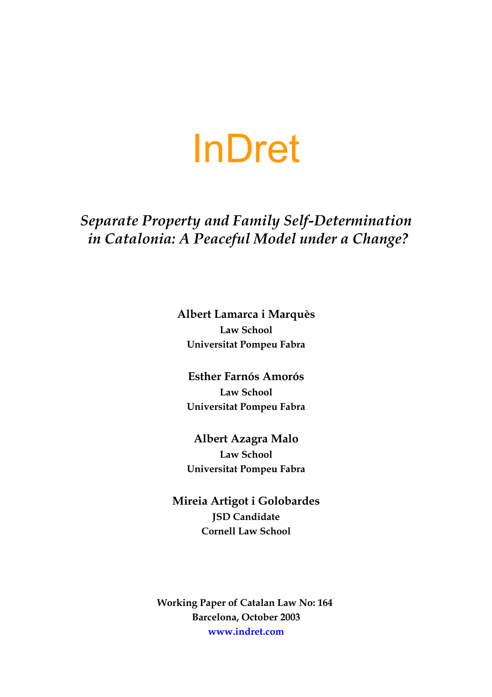# InDret

# *Separate Property and Family Self-Determination in Catalonia: A Peaceful Model under a Change?*

**Albert Lamarca i Marquès Law School Universitat Pompeu Fabra**

**Esther Farnós Amorós Law School Universitat Pompeu Fabra**

**Albert Azagra Malo Law School Universitat Pompeu Fabra**

**Mireia Artigot i Golobardes JSD Candidate Cornell Law School**

**Working Paper of Catalan Law No: 164 Barcelona, October 2003 www.indret.com**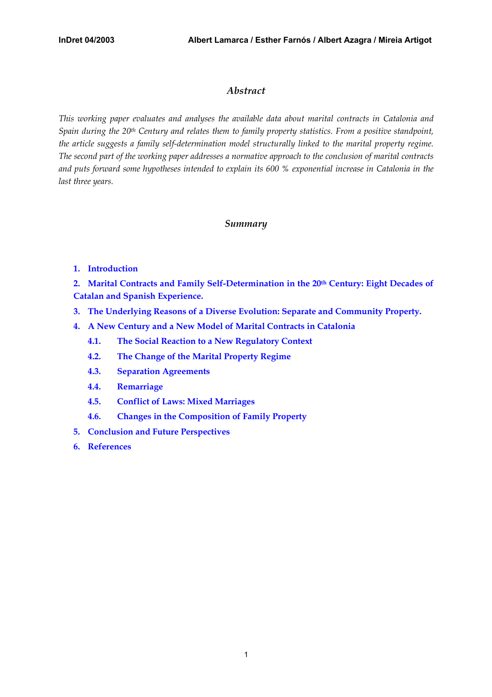# *Abstract*

*This working paper evaluates and analyses the available data about marital contracts in Catalonia and Spain during the 20th Century and relates them to family property statistics. From a positive standpoint, the article suggests a family self-determination model structurally linked to the marital property regime. The second part of the working paper addresses a normative approach to the conclusion of marital contracts and puts forward some hypotheses intended to explain its 600 % exponential increase in Catalonia in the last three years.* 

# *Summary*

**[1. Introduction](#page-2-0)**

2. Marital Contracts and Family Self-Determination in the 20<sup>th</sup> Century: Eight Decades of **[Catalan and Spanish Experience.](#page-2-0)**

- **3. The Underlying Reasons of a Diverse [Evolution: Separate and Community Property.](#page-7-0)**
- **[4. A New Century and a New Model of Marital Contracts in Catalonia](#page-12-0)**
	- **4.1. [The Social Reaction to a New Regulatory Context](#page-12-0)**
	- **4.2. The Change [of the Marital Property Regime](#page-14-0)**
	- **[4.3. Separation Agreements](#page-15-0)**
	- **[4.4. Remarriage](#page-15-0)**
	- **4.5. [Conflict of Laws: Mixed](#page-17-0) Marriages**
	- **[4.6. Changes in the Composition of Family Property](#page-17-0)**
- **[5. Conclusion and Future Perspectives](#page-18-0)**
- **[6. References](#page-19-0)**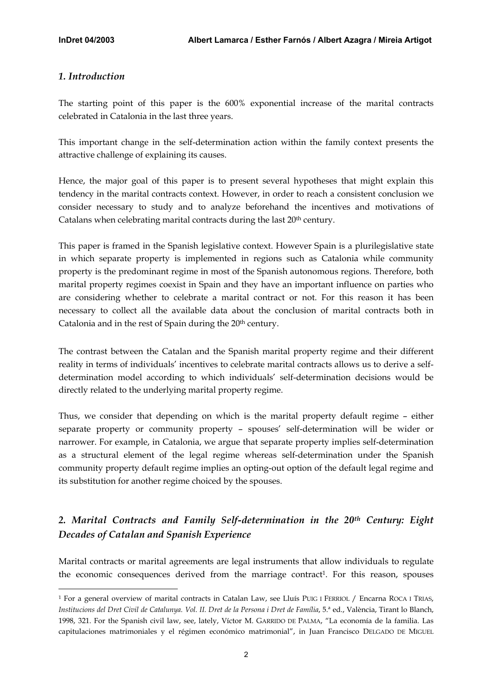# <span id="page-2-1"></span><span id="page-2-0"></span>*1. Introduction*

 $\overline{a}$ 

The starting point of this paper is the 600% exponential increase of the marital contracts celebrated in Catalonia in the last three years.

This important change in the self-determination action within the family context presents the attractive challenge of explaining its causes.

Hence, the major goal of this paper is to present several hypotheses that might explain this tendency in the marital contracts context. However, in order to reach a consistent conclusion we consider necessary to study and to analyze beforehand the incentives and motivations of Catalans when celebrating marital contracts during the last 20<sup>th</sup> century.

This paper is framed in the Spanish legislative context. However Spain is a plurilegislative state in which separate property is implemented in regions such as Catalonia while community property is the predominant regime in most of the Spanish autonomous regions. Therefore, both marital property regimes coexist in Spain and they have an important influence on parties who are considering whether to celebrate a marital contract or not. For this reason it has been necessary to collect all the available data about the conclusion of marital contracts both in Catalonia and in the rest of Spain during the 20<sup>th</sup> century.

The contrast between the Catalan and the Spanish marital property regime and their different reality in terms of individuals' incentives to celebrate marital contracts allows us to derive a selfdetermination model according to which individuals' self-determination decisions would be directly related to the underlying marital property regime.

Thus, we consider that depending on which is the marital property default regime – either separate property or community property – spouses' self-determination will be wider or narrower. For example, in Catalonia, we argue that separate property implies self-determination as a structural element of the legal regime whereas self-determination under the Spanish community property default regime implies an opting-out option of the default legal regime and its substitution for another regime choiced by the spouses.

# *2. Marital Contracts and Family Self-determination in the 20th Century: Eight Decades of Catalan and Spanish Experience*

Marital contracts or marital agreements are legal instruments that allow individuals to regulate the economic consequences derived from the marriage contract<sup>1</sup>. For this reason, spouses

<sup>1</sup> For a general overview of marital contracts in Catalan Law, see Lluís PUIG I FERRIOL / Encarna ROCA I TRIAS, *Institucions del Dret Civil de Catalunya. Vol. II. Dret de la Persona i Dret de Família*, 5.ª ed., València, Tirant lo Blanch, 1998, 321. For the Spanish civil law, see, lately, Víctor M. GARRIDO DE PALMA, "La economía de la familia. Las capitulaciones matrimoniales y el régimen económico matrimonial", in Juan Francisco DELGADO DE MIGUEL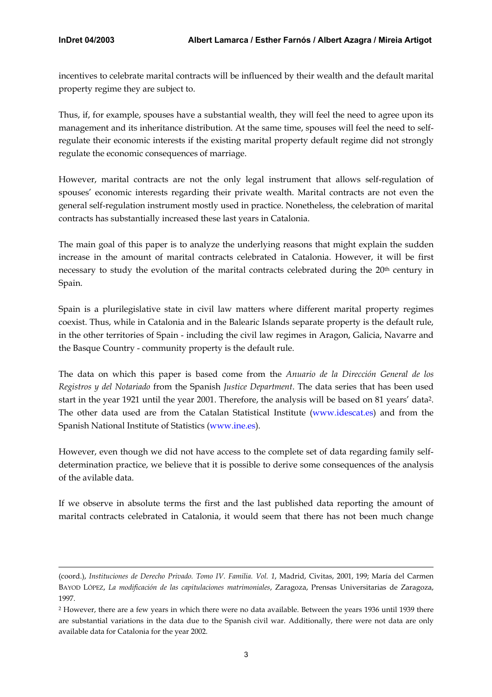$\overline{a}$ 

incentives to celebrate marital contracts will be influenced by their wealth and the default marital property regime they are subject to.

Thus, if, for example, spouses have a substantial wealth, they will feel the need to agree upon its management and its inheritance distribution. At the same time, spouses will feel the need to selfregulate their economic interests if the existing marital property default regime did not strongly regulate the economic consequences of marriage.

However, marital contracts are not the only legal instrument that allows self-regulation of spouses' economic interests regarding their private wealth. Marital contracts are not even the general self-regulation instrument mostly used in practice. Nonetheless, the celebration of marital contracts has substantially increased these last years in Catalonia.

The main goal of this paper is to analyze the underlying reasons that might explain the sudden increase in the amount of marital contracts celebrated in Catalonia. However, it will be first necessary to study the evolution of the marital contracts celebrated during the 20<sup>th</sup> century in Spain.

Spain is a plurilegislative state in civil law matters where different marital property regimes coexist. Thus, while in Catalonia and in the Balearic Islands separate property is the default rule, in the other territories of Spain - including the civil law regimes in Aragon, Galicia, Navarre and the Basque Country - community property is the default rule.

The data on which this paper is based come from the *Anuario de la Dirección General de los Registros y del Notariado* from the Spanish *Justice Department*. The data series that has been used start in the year 1921 until the year 2001. Therefore, the analysis will be based on 81 years' data[2.](#page-3-0)  The other data used are from the Catalan Statistical Institute [\(www.idescat.es](http://www.idescat.es/)) and from the Spanish National Institute of Statistics ([www.ine.es\)](http://www.ine.es/).

However, even though we did not have access to the complete set of data regarding family selfdetermination practice, we believe that it is possible to derive some consequences of the analysis of the avilable data.

If we observe in absolute terms the first and the last published data reporting the amount of marital contracts celebrated in Catalonia, it would seem that there has not been much change

<sup>(</sup>coord.), *Instituciones de Derecho Privado. Tomo IV. Familia. Vol. 1*, Madrid, Civitas, 2001, 199; María del Carmen BAYOD LÓPEZ, *La modificación de las capitulaciones matrimoniales*, Zaragoza, Prensas Universitarias de Zaragoza, 1997.

<span id="page-3-0"></span><sup>2</sup> However, there are a few years in which there were no data available. Between the years 1936 until 1939 there are substantial variations in the data due to the Spanish civil war. Additionally, there were not data are only available data for Catalonia for the year 2002.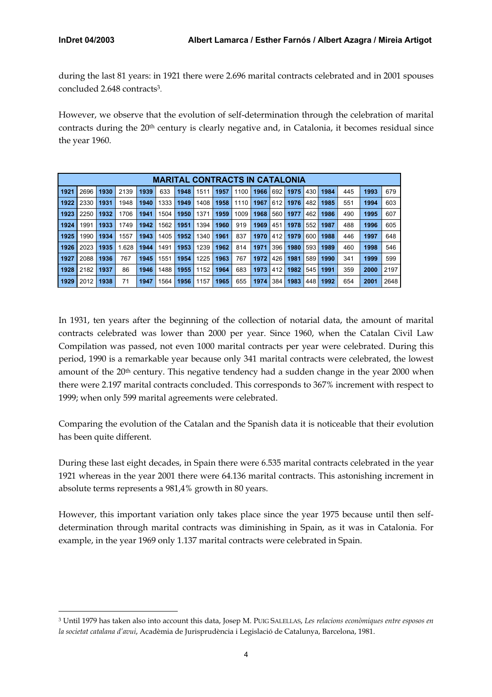$\overline{a}$ 

during the last 81 years: in 1921 there were 2.696 marital contracts celebrated and in 2001 spouses concluded 2.648 contracts[3.](#page-4-0)

However, we observe that the evolution of self-determination through the celebration of marital contracts during the  $20<sup>th</sup>$  century is clearly negative and, in Catalonia, it becomes residual since the year 1960.

|      | <b>MARITAL CONTRACTS IN CATALONIA</b> |      |      |      |      |      |      |      |      |      |     |      |     |      |     |      |      |
|------|---------------------------------------|------|------|------|------|------|------|------|------|------|-----|------|-----|------|-----|------|------|
| 1921 | 2696                                  | 1930 | 2139 | 1939 | 633  | 1948 | 1511 | 1957 | 1100 | 1966 | 692 | 1975 | 430 | 1984 | 445 | 1993 | 679  |
| 1922 | 2330                                  | 1931 | 1948 | 1940 | 1333 | 1949 | 1408 | 1958 | 1110 | 1967 | 612 | 1976 | 482 | 1985 | 551 | 1994 | 603  |
| 1923 | 2250                                  | 1932 | 1706 | 1941 | 1504 | 1950 | 1371 | 1959 | 1009 | 1968 | 560 | 1977 | 462 | 1986 | 490 | 1995 | 607  |
| 1924 | 1991                                  | 1933 | 1749 | 1942 | 1562 | 1951 | 394  | 1960 | 919  | 1969 | 451 | 1978 | 552 | 1987 | 488 | 1996 | 605  |
| 1925 | 1990                                  | 1934 | 1557 | 1943 | 1405 | 1952 | 1340 | 1961 | 837  | 1970 | 412 | 1979 | 600 | 1988 | 446 | 1997 | 648  |
| 1926 | 2023                                  | 1935 | .628 | 1944 | 1491 | 1953 | 1239 | 1962 | 814  | 1971 | 396 | 1980 | 593 | 1989 | 460 | 1998 | 546  |
| 1927 | 2088                                  | 1936 | 767  | 1945 | 1551 | 1954 | 1225 | 1963 | 767  | 1972 | 426 | 1981 | 589 | 1990 | 341 | 1999 | 599  |
| 1928 | 2182                                  | 1937 | 86   | 1946 | 1488 | 1955 | 1152 | 1964 | 683  | 1973 | 412 | 1982 | 545 | 1991 | 359 | 2000 | 2197 |
| 1929 | 2012                                  | 1938 | 71   | 1947 | 1564 | 1956 | 1157 | 1965 | 655  | 1974 | 384 | 1983 | 448 | 1992 | 654 | 2001 | 2648 |

In 1931, ten years after the beginning of the collection of notarial data, the amount of marital contracts celebrated was lower than 2000 per year. Since 1960, when the Catalan Civil Law Compilation was passed, not even 1000 marital contracts per year were celebrated. During this period, 1990 is a remarkable year because only 341 marital contracts were celebrated, the lowest amount of the 20<sup>th</sup> century. This negative tendency had a sudden change in the year 2000 when there were 2.197 marital contracts concluded. This corresponds to 367% increment with respect to 1999; when only 599 marital agreements were celebrated.

Comparing the evolution of the Catalan and the Spanish data it is noticeable that their evolution has been quite different.

During these last eight decades, in Spain there were 6.535 marital contracts celebrated in the year 1921 whereas in the year 2001 there were 64.136 marital contracts. This astonishing increment in absolute terms represents a 981,4% growth in 80 years.

However, this important variation only takes place since the year 1975 because until then selfdetermination through marital contracts was diminishing in Spain, as it was in Catalonia. For example, in the year 1969 only 1.137 marital contracts were celebrated in Spain.

<span id="page-4-0"></span><sup>3</sup> Until 1979 has taken also into account this data, Josep M. PUIG SALELLAS, *Les relacions econòmiques entre esposos en la societat catalana d'avui*, Acadèmia de Jurisprudència i Legislació de Catalunya, Barcelona, 1981.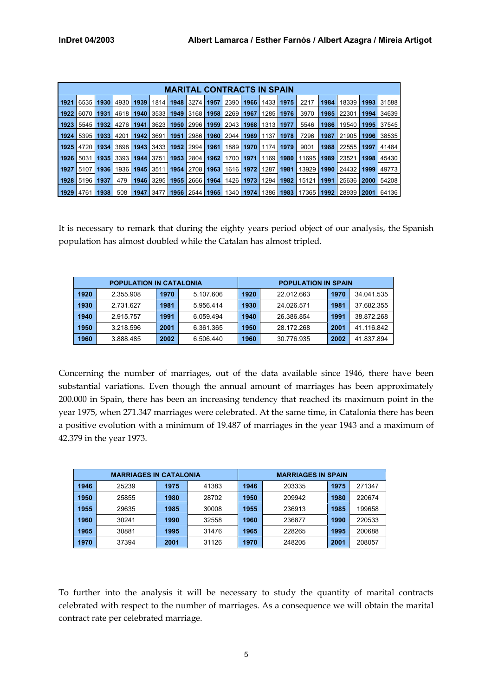|      | <b>MARITAL CONTRACTS IN SPAIN</b> |      |      |      |      |      |      |      |      |      |      |      |       |      |       |      |       |
|------|-----------------------------------|------|------|------|------|------|------|------|------|------|------|------|-------|------|-------|------|-------|
| 1921 | 6535                              | 1930 | 4930 | 1939 | 1814 | 1948 | 3274 | 1957 | 2390 | 1966 | 1433 | 1975 | 2217  | 1984 | 18339 | 1993 | 31588 |
| 1922 | 6070                              | 1931 | 4618 | 1940 | 3533 | 1949 | 3168 | 1958 | 2269 | 1967 | 1285 | 1976 | 3970  | 1985 | 22301 | 1994 | 34639 |
| 1923 | 5545                              | 1932 | 4276 | 1941 | 3623 | 1950 | 2996 | 1959 | 2043 | 1968 | 1313 | 1977 | 5546  | 1986 | 19540 | 1995 | 37545 |
| 1924 | 5395                              | 1933 | 4201 | 1942 | 3691 | 1951 | 2986 | 1960 | 2044 | 1969 | 1137 | 1978 | 7296  | 1987 | 21905 | 1996 | 38535 |
| 1925 | 4720                              | 1934 | 3898 | 1943 | 3433 | 1952 | 2994 | 1961 | 1889 | 1970 | 1174 | 1979 | 9001  | 1988 | 22555 | 1997 | 41484 |
| 1926 | 5031                              | 1935 | 3393 | 1944 | 3751 | 1953 | 2804 | 1962 | 1700 | 1971 | 1169 | 1980 | 11695 | 1989 | 23521 | 1998 | 45430 |
| 1927 | 5107                              | 1936 | 1936 | 1945 | 3511 | 1954 | 2708 | 1963 | 1616 | 1972 | 1287 | 1981 | 13929 | 1990 | 24432 | 1999 | 49773 |
| 1928 | 5196                              | 1937 | 479  | 1946 | 3295 | 1955 | 2666 | 1964 | 1426 | 1973 | 1294 | 1982 | 15121 | 1991 | 25636 | 2000 | 54208 |
| 1929 | 4761                              | 1938 | 508  | 1947 | 3477 | 1956 | 2544 | 1965 | 1340 | 1974 | 1386 | 1983 | 17365 | 1992 | 28939 | 2001 | 64136 |

It is necessary to remark that during the eighty years period object of our analysis, the Spanish population has almost doubled while the Catalan has almost tripled.

|      | <b>POPULATION IN CATALONIA</b> |      |           | <b>POPULATION IN SPAIN</b> |            |      |            |  |  |  |
|------|--------------------------------|------|-----------|----------------------------|------------|------|------------|--|--|--|
| 1920 | 2.355.908                      | 1970 | 5.107.606 | 1920                       | 22.012.663 | 1970 | 34.041.535 |  |  |  |
| 1930 | 2.731.627                      | 1981 | 5.956.414 | 1930                       | 24.026.571 | 1981 | 37.682.355 |  |  |  |
| 1940 | 2.915.757                      | 1991 | 6.059.494 | 1940                       | 26.386.854 | 1991 | 38.872.268 |  |  |  |
| 1950 | 3.218.596                      | 2001 | 6.361.365 | 1950                       | 28.172.268 | 2001 | 41.116.842 |  |  |  |
| 1960 | 3.888.485                      | 2002 | 6.506.440 | 1960                       | 30.776.935 | 2002 | 41.837.894 |  |  |  |

Concerning the number of marriages, out of the data available since 1946, there have been substantial variations. Even though the annual amount of marriages has been approximately 200.000 in Spain, there has been an increasing tendency that reached its maximum point in the year 1975, when 271.347 marriages were celebrated. At the same time, in Catalonia there has been a positive evolution with a minimum of 19.487 of marriages in the year 1943 and a maximum of 42.379 in the year 1973.

|      | <b>MARRIAGES IN CATALONIA</b> |      |       | <b>MARRIAGES IN SPAIN</b> |        |      |        |  |  |  |
|------|-------------------------------|------|-------|---------------------------|--------|------|--------|--|--|--|
| 1946 | 25239                         | 1975 | 41383 | 1946                      | 203335 | 1975 | 271347 |  |  |  |
| 1950 | 25855                         | 1980 | 28702 | 1950                      | 209942 | 1980 | 220674 |  |  |  |
| 1955 | 29635                         | 1985 | 30008 | 1955                      | 236913 | 1985 | 199658 |  |  |  |
| 1960 | 30241                         | 1990 | 32558 | 1960                      | 236877 | 1990 | 220533 |  |  |  |
| 1965 | 30881                         | 1995 | 31476 | 1965                      | 228265 | 1995 | 200688 |  |  |  |
| 1970 | 37394                         | 2001 | 31126 | 1970                      | 248205 | 2001 | 208057 |  |  |  |

To further into the analysis it will be necessary to study the quantity of marital contracts celebrated with respect to the number of marriages. As a consequence we will obtain the marital contract rate per celebrated marriage.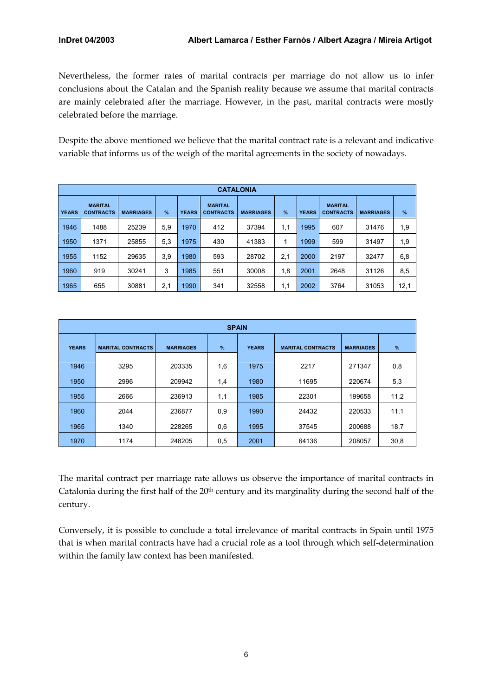Nevertheless, the former rates of marital contracts per marriage do not allow us to infer conclusions about the Catalan and the Spanish reality because we assume that marital contracts are mainly celebrated after the marriage. However, in the past, marital contracts were mostly celebrated before the marriage.

Despite the above mentioned we believe that the marital contract rate is a relevant and indicative variable that informs us of the weigh of the marital agreements in the society of nowadays.

|              | <b>CATALONIA</b>                   |                  |      |              |                                    |                  |     |              |                                    |                  |      |  |  |
|--------------|------------------------------------|------------------|------|--------------|------------------------------------|------------------|-----|--------------|------------------------------------|------------------|------|--|--|
| <b>YEARS</b> | <b>MARITAL</b><br><b>CONTRACTS</b> | <b>MARRIAGES</b> | $\%$ | <b>YEARS</b> | <b>MARITAL</b><br><b>CONTRACTS</b> | <b>MARRIAGES</b> | %   | <b>YEARS</b> | <b>MARITAL</b><br><b>CONTRACTS</b> | <b>MARRIAGES</b> | %    |  |  |
| 1946         | 1488                               | 25239            | 5,9  | 1970         | 412                                | 37394            | 1,1 | 1995         | 607                                | 31476            | 1,9  |  |  |
| 1950         | 1371                               | 25855            | 5,3  | 1975         | 430                                | 41383            |     | 1999         | 599                                | 31497            | 1,9  |  |  |
| 1955         | 1152                               | 29635            | 3,9  | 1980         | 593                                | 28702            | 2,1 | 2000         | 2197                               | 32477            | 6,8  |  |  |
| 1960         | 919                                | 30241            | 3    | 1985         | 551                                | 30008            | 1,8 | 2001         | 2648                               | 31126            | 8,5  |  |  |
| 1965         | 655                                | 30881            | 2,1  | 1990         | 341                                | 32558            | 1,1 | 2002         | 3764                               | 31053            | 12,1 |  |  |

|              | <b>SPAIN</b>             |                  |     |              |                          |                  |               |  |  |  |  |  |
|--------------|--------------------------|------------------|-----|--------------|--------------------------|------------------|---------------|--|--|--|--|--|
| <b>YEARS</b> | <b>MARITAL CONTRACTS</b> | <b>MARRIAGES</b> | %   | <b>YEARS</b> | <b>MARITAL CONTRACTS</b> | <b>MARRIAGES</b> | $\frac{9}{6}$ |  |  |  |  |  |
| 1946         | 3295                     | 203335           | 1,6 | 1975         | 2217                     | 271347           | 0,8           |  |  |  |  |  |
| 1950         | 2996                     | 209942           | 1,4 | 1980         | 11695                    | 220674           | 5,3           |  |  |  |  |  |
| 1955         | 2666                     | 236913           | 1,1 | 1985         | 22301                    | 199658           | 11,2          |  |  |  |  |  |
| 1960         | 2044                     | 236877           | 0,9 | 1990         | 24432                    | 220533           | 11,1          |  |  |  |  |  |
| 1965         | 1340                     | 228265           | 0,6 | 1995         | 37545                    | 200688           | 18,7          |  |  |  |  |  |
| 1970         | 1174                     | 248205           | 0,5 | 2001         | 64136                    | 208057           | 30,8          |  |  |  |  |  |

The marital contract per marriage rate allows us observe the importance of marital contracts in Catalonia during the first half of the 20<sup>th</sup> century and its marginality during the second half of the century.

Conversely, it is possible to conclude a total irrelevance of marital contracts in Spain until 1975 that is when marital contracts have had a crucial role as a tool through which self-determination within the family law context has been manifested.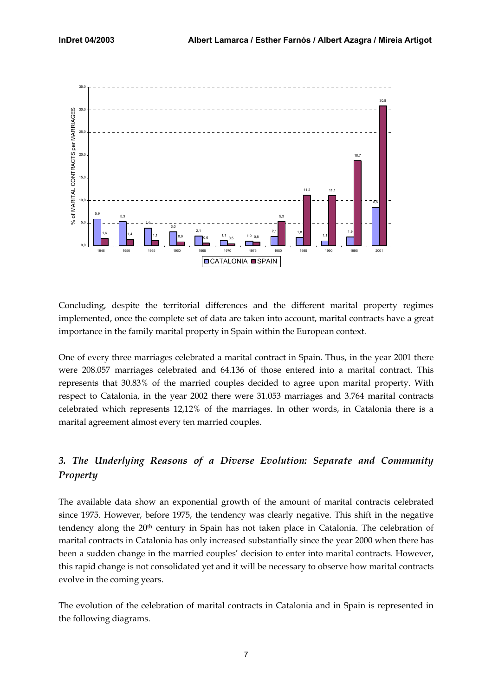<span id="page-7-0"></span>

Concluding, despite the territorial differences and the different marital property regimes implemented, once the complete set of data are taken into account, marital contracts have a great importance in the family marital property in Spain within the European context.

One of every three marriages celebrated a marital contract in Spain. Thus, in the year 2001 there were 208.057 marriages celebrated and 64.136 of those entered into a marital contract. This represents that 30.83% of the married couples decided to agree upon marital property. With respect to Catalonia, in the year 2002 there were 31.053 marriages and 3.764 marital contracts celebrated which represents 12,12% of the marriages. In other words, in Catalonia there is a marital agreement almost every ten married couples.

# *3. The Underlying Reasons of a Diverse Evolution: Separate and Community Property*

The available data show an exponential growth of the amount of marital contracts celebrated since 1975. However, before 1975, the tendency was clearly negative. This shift in the negative tendency along the 20th century in Spain has not taken place in Catalonia. The celebration of marital contracts in Catalonia has only increased substantially since the year 2000 when there has been a sudden change in the married couples' decision to enter into marital contracts. However, this rapid change is not consolidated yet and it will be necessary to observe how marital contracts evolve in the coming years.

The evolution of the celebration of marital contracts in Catalonia and in Spain is represented in the following diagrams.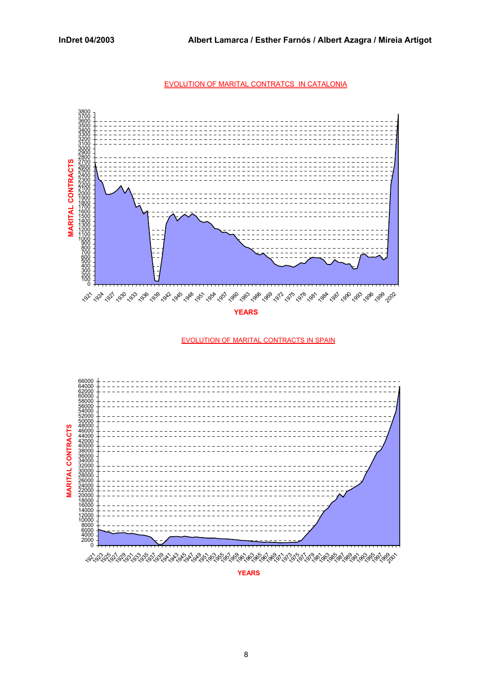EVOLUTION OF MARITAL CONTRATCS IN CATALONIA



**YEARS**

EVOLUTION OF MARITAL CONTRACTS IN SPAIN



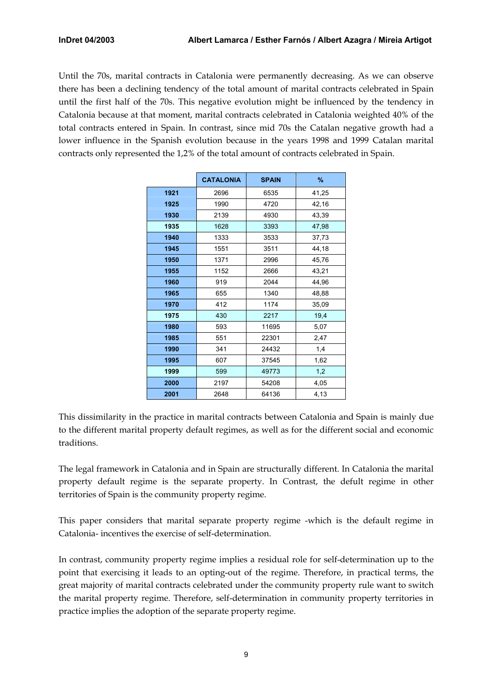Until the 70s, marital contracts in Catalonia were permanently decreasing. As we can observe there has been a declining tendency of the total amount of marital contracts celebrated in Spain until the first half of the 70s. This negative evolution might be influenced by the tendency in Catalonia because at that moment, marital contracts celebrated in Catalonia weighted 40% of the total contracts entered in Spain. In contrast, since mid 70s the Catalan negative growth had a lower influence in the Spanish evolution because in the years 1998 and 1999 Catalan marital contracts only represented the 1,2% of the total amount of contracts celebrated in Spain.

|      | <b>CATALONIA</b> | <b>SPAIN</b> | %     |
|------|------------------|--------------|-------|
| 1921 | 2696             | 6535         | 41,25 |
| 1925 | 1990             | 4720         | 42,16 |
| 1930 | 2139             | 4930         | 43,39 |
| 1935 | 1628             | 3393         | 47,98 |
| 1940 | 1333             | 3533         | 37,73 |
| 1945 | 1551             | 3511         | 44,18 |
| 1950 | 1371             | 2996         | 45,76 |
| 1955 | 1152             | 2666         | 43,21 |
| 1960 | 919              | 2044         | 44,96 |
| 1965 | 655              | 1340         | 48,88 |
| 1970 | 412              | 1174         | 35,09 |
| 1975 | 430              | 2217         | 19,4  |
| 1980 | 593              | 11695        | 5,07  |
| 1985 | 551              | 22301        | 2,47  |
| 1990 | 341              | 24432        | 1,4   |
| 1995 | 607              | 37545        | 1,62  |
| 1999 | 599              | 49773        | 1,2   |
| 2000 | 2197             | 54208        | 4,05  |
| 2001 | 2648             | 64136        | 4,13  |

This dissimilarity in the practice in marital contracts between Catalonia and Spain is mainly due to the different marital property default regimes, as well as for the different social and economic traditions.

The legal framework in Catalonia and in Spain are structurally different. In Catalonia the marital property default regime is the separate property. In Contrast, the defult regime in other territories of Spain is the community property regime.

This paper considers that marital separate property regime -which is the default regime in Catalonia- incentives the exercise of self-determination.

In contrast, community property regime implies a residual role for self-determination up to the point that exercising it leads to an opting-out of the regime. Therefore, in practical terms, the great majority of marital contracts celebrated under the community property rule want to switch the marital property regime. Therefore, self-determination in community property territories in practice implies the adoption of the separate property regime.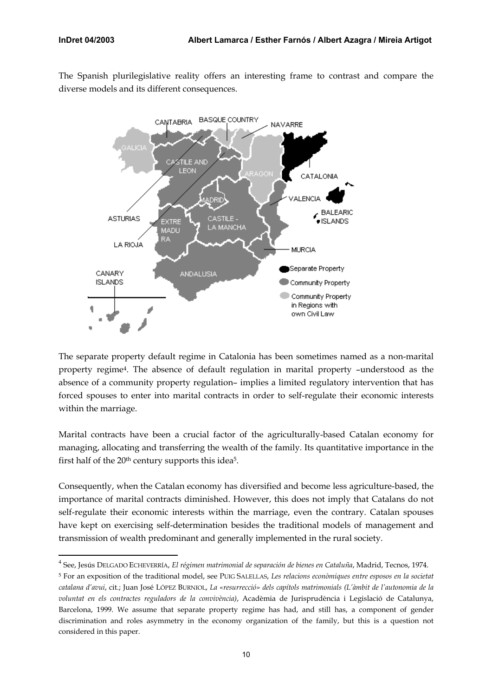$\overline{a}$ 

The Spanish plurilegislative reality offers an interesting frame to contrast and compare the diverse models and its different consequences.



The separate property default regime in Catalonia has been sometimes named as a non-marital property regime[4.](#page-10-0) The absence of default regulation in marital property –understood as the absence of a community property regulation– implies a limited regulatory intervention that has forced spouses to enter into marital contracts in order to self-regulate their economic interests within the marriage.

Marital contracts have been a crucial factor of the agriculturally-based Catalan economy for managing, allocating and transferring the wealth of the family. Its quantitative importance in the first half of the 20<sup>th</sup> century supports this idea<sup>5</sup>.

Consequently, when the Catalan economy has diversified and become less agriculture-based, the importance of marital contracts diminished. However, this does not imply that Catalans do not self-regulate their economic interests within the marriage, even the contrary. Catalan spouses have kept on exercising self-determination besides the traditional models of management and transmission of wealth predominant and generally implemented in the rural society.

<span id="page-10-0"></span><sup>4</sup> See, Jesús DELGADO ECHEVERRÍA, *El régimen matrimonial de separación de bienes en Cataluña*, Madrid, Tecnos, 1974.

<span id="page-10-1"></span><sup>5</sup> For an exposition of the traditional model, see PUIG SALELLAS, *Les relacions econòmiques entre esposos en la societat catalana d'avui*, cit.; Juan José LÓPEZ BURNIOL, *La «resurrecció» dels capítols matrimonials (L'àmbit de l'autonomia de la voluntat en els contractes reguladors de la convivència)*, Acadèmia de Jurisprudència i Legislació de Catalunya, Barcelona, 1999. We assume that separate property regime has had, and still has, a component of gender discrimination and roles asymmetry in the economy organization of the family, but this is a question not considered in this paper.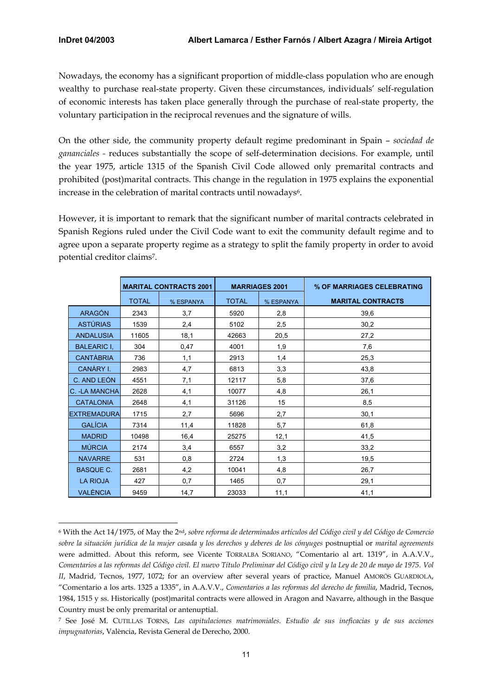Nowadays, the economy has a significant proportion of middle-class population who are enough wealthy to purchase real-state property. Given these circumstances, individuals' self-regulation of economic interests has taken place generally through the purchase of real-state property, the voluntary participation in the reciprocal revenues and the signature of wills.

On the other side, the community property default regime predominant in Spain – *sociedad de gananciales -* reduces substantially the scope of self-determination decisions. For example, until the year 1975, article 1315 of the Spanish Civil Code allowed only premarital contracts and prohibited (post)marital contracts. This change in the regulation in 1975 explains the exponential increase in the celebration of marital contracts until nowadays<sup>6</sup>.

However, it is important to remark that the significant number of marital contracts celebrated in Spanish Regions ruled under the Civil Code want to exit the community default regime and to agree upon a separate property regime as a strategy to split the family property in order to avoid potential creditor claims[7.](#page-11-1)

|                    |              | <b>MARITAL CONTRACTS 2001</b> |              | <b>MARRIAGES 2001</b> | % OF MARRIAGES CELEBRATING |
|--------------------|--------------|-------------------------------|--------------|-----------------------|----------------------------|
|                    | <b>TOTAL</b> | % ESPANYA                     | <b>TOTAL</b> | % ESPANYA             | <b>MARITAL CONTRACTS</b>   |
| <b>ARAGÓN</b>      | 2343         | 3,7                           | 5920         | 2,8                   | 39,6                       |
| <b>ASTÚRIAS</b>    | 1539         | 2,4                           | 5102         | 2,5                   | 30,2                       |
| <b>ANDALUSIA</b>   | 11605        | 18,1                          | 42663        | 20,5                  | 27,2                       |
| <b>BALEARIC I.</b> | 304          | 0,47                          | 4001         | 1,9                   | 7,6                        |
| <b>CANTABRIA</b>   | 736          | 1,1                           | 2913         | 1,4                   | 25,3                       |
| CANÀRY I.          | 2983         | 4,7                           | 6813         | 3,3                   | 43,8                       |
| C. AND LEÓN        | 4551         | 7,1                           | 12117        | 5,8                   | 37,6                       |
| C. - LA MANCHA     | 2628         | 4,1                           | 10077        | 4,8                   | 26,1                       |
| <b>CATALONIA</b>   | 2648         | 4,1                           | 31126        | 15                    | 8,5                        |
| <b>EXTREMADURA</b> | 1715         | 2,7                           | 5696         | 2,7                   | 30,1                       |
| <b>GALÍCIA</b>     | 7314         | 11,4                          | 11828        | 5,7                   | 61,8                       |
| <b>MADRID</b>      | 10498        | 16,4                          | 25275        | 12,1                  | 41,5                       |
| <b>MÚRCIA</b>      | 2174         | 3,4                           | 6557         | 3,2                   | 33,2                       |
| <b>NAVARRE</b>     | 531          | 0,8                           | 2724         | 1,3                   | 19,5                       |
| <b>BASQUE C.</b>   | 2681         | 4,2                           | 10041        | 4,8                   | 26,7                       |
| <b>LA RIOJA</b>    | 427          | 0,7                           | 1465         | 0,7                   | 29,1                       |
| <b>VALÈNCIA</b>    | 9459         | 14,7                          | 23033        | 11,1                  | 41,1                       |

<span id="page-11-0"></span> $\overline{a}$ 6 With the Act 14/1975, of May the 2nd, *sobre reforma de determinados artículos del Código civil y del Código de Comercio sobre la situación jurídica de la mujer casada y los derechos y deberes de los cónyuges* postnuptial or *marital agreements* were admitted. About this reform, see Vicente TORRALBA SORIANO, "Comentario al art. 1319", in A.A.V.V., *Comentarios a las reformas del Código civil. El nuevo Título Preliminar del Código civil y la Ley de 20 de mayo de 1975. Vol II*, Madrid, Tecnos, 1977, 1072; for an overview after several years of practice, Manuel AMORÓS GUARDIOLA, "Comentario a los arts. 1325 a 1335", in A.A.V.V., *Comentarios a las reformas del derecho de familia*, Madrid, Tecnos, 1984, 1515 y ss. Historically (post)marital contracts were allowed in Aragon and Navarre, although in the Basque Country must be only premarital or antenuptial.

<span id="page-11-1"></span><sup>7</sup> See José M. CUTILLAS TORNS, *Las capitulaciones matrimoniales. Estudio de sus ineficacias y de sus acciones impugnatorias*, València, Revista General de Derecho, 2000.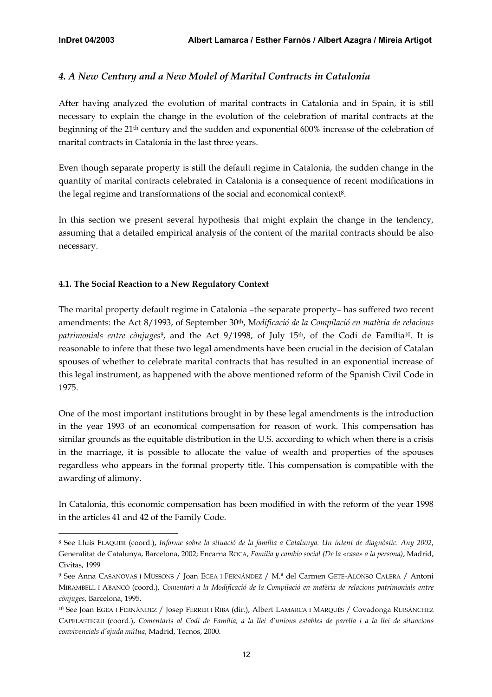$\overline{a}$ 

# <span id="page-12-0"></span>*4. A New Century and a New Model of Marital Contracts in Catalonia*

After having analyzed the evolution of marital contracts in Catalonia and in Spain, it is still necessary to explain the change in the evolution of the celebration of marital contracts at the beginning of the 21th century and the sudden and exponential 600% increase of the celebration of marital contracts in Catalonia in the last three years.

Even though separate property is still the default regime in Catalonia, the sudden change in the quantity of marital contracts celebrated in Catalonia is a consequence of recent modifications in the legal regime and transformations of the social and economical context<sup>8</sup>.

In this section we present several hypothesis that might explain the change in the tendency, assuming that a detailed empirical analysis of the content of the marital contracts should be also necessary.

# **4.1. The Social Reaction to a New Regulatory Context**

The marital property default regime in Catalonia –the separate property– has suffered two recent amendments: the Act 8/1993, of September 30th, M*odificació de la Compilació en matèria de relacions patrimonials entre cònjuge[s9](#page-12-2)*, and the Act 9/1998, of July 15th, of the Codi de Família[10.](#page-12-3) It is reasonable to infere that these two legal amendments have been crucial in the decision of Catalan spouses of whether to celebrate marital contracts that has resulted in an exponential increase of this legal instrument, as happened with the above mentioned reform of the Spanish Civil Code in 1975.

One of the most important institutions brought in by these legal amendments is the introduction in the year 1993 of an economical compensation for reason of work. This compensation has similar grounds as the equitable distribution in the U.S. according to which when there is a crisis in the marriage, it is possible to allocate the value of wealth and properties of the spouses regardless who appears in the formal property title. This compensation is compatible with the awarding of alimony.

In Catalonia, this economic compensation has been modified in with the reform of the year 1998 in the articles 41 and 42 of the Family Code.

<span id="page-12-1"></span><sup>8</sup> See Lluís FLAQUER (coord.), *Informe sobre la situació de la família a Catalunya*. *Un intent de diagnòstic*. *Any 2002*, Generalitat de Catalunya, Barcelona, 2002; Encarna ROCA, *Familia y cambio social (De la «casa» a la persona)*, Madrid, Civitas, 1999

<span id="page-12-2"></span><sup>9</sup> See Anna CASANOVAS I MUSSONS / Joan EGEA I FERNÁNDEZ / M.ª del Carmen GETE-ALONSO CALERA / Antoni MIRAMBELL I ABANCÓ (coord.), *Comentari a la Modificació de la Compilació en matèria de relacions patrimonials entre cònjuges*, Barcelona, 1995.

<span id="page-12-3"></span><sup>10</sup> See Joan EGEA I FERNÁNDEZ / Josep FERRER I RIBA (dir.), Albert LAMARCA I MARQUÈS / Covadonga RUISÁNCHEZ CAPELASTEGUI (coord.), *Comentaris al Codi de Família, a la llei d'unions estables de parella i a la llei de situacions convivencials d'ajuda mútua*, Madrid, Tecnos, 2000.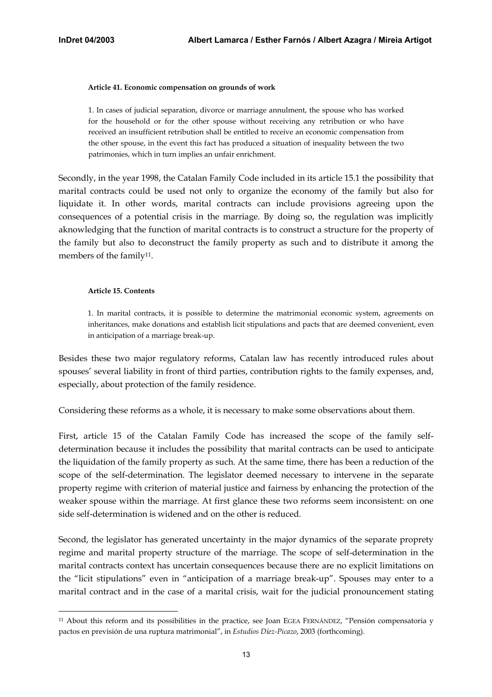#### **Article 41. Economic compensation on grounds of work**

1. In cases of judicial separation, divorce or marriage annulment, the spouse who has worked for the household or for the other spouse without receiving any retribution or who have received an insufficient retribution shall be entitled to receive an economic compensation from the other spouse, in the event this fact has produced a situation of inequality between the two patrimonies, which in turn implies an unfair enrichment.

Secondly, in the year 1998, the Catalan Family Code included in its article 15.1 the possibility that marital contracts could be used not only to organize the economy of the family but also for liquidate it. In other words, marital contracts can include provisions agreeing upon the consequences of a potential crisis in the marriage. By doing so, the regulation was implicitly aknowledging that the function of marital contracts is to construct a structure for the property of the family but also to deconstruct the family property as such and to distribute it among the members of the family<sup>11</sup>.

#### **Article 15. Contents**

1. In marital contracts, it is possible to determine the matrimonial economic system, agreements on inheritances, make donations and establish licit stipulations and pacts that are deemed convenient, even in anticipation of a marriage break-up.

Besides these two major regulatory reforms, Catalan law has recently introduced rules about spouses' several liability in front of third parties, contribution rights to the family expenses, and, especially, about protection of the family residence.

Considering these reforms as a whole, it is necessary to make some observations about them.

First, article 15 of the Catalan Family Code has increased the scope of the family selfdetermination because it includes the possibility that marital contracts can be used to anticipate the liquidation of the family property as such. At the same time, there has been a reduction of the scope of the self-determination. The legislator deemed necessary to intervene in the separate property regime with criterion of material justice and fairness by enhancing the protection of the weaker spouse within the marriage. At first glance these two reforms seem inconsistent: on one side self-determination is widened and on the other is reduced.

Second, the legislator has generated uncertainty in the major dynamics of the separate proprety regime and marital property structure of the marriage. The scope of self-determination in the marital contracts context has uncertain consequences because there are no explicit limitations on the "licit stipulations" even in "anticipation of a marriage break-up". Spouses may enter to a marital contract and in the case of a marital crisis, wait for the judicial pronouncement stating

<span id="page-13-0"></span> $\overline{a}$ 11 About this reform and its possibilities in the practice, see Joan EGEA FERNÁNDEZ, "Pensión compensatoria y pactos en previsión de una ruptura matrimonial", in *Estudios Díez-Picazo*, 2003 (forthcoming).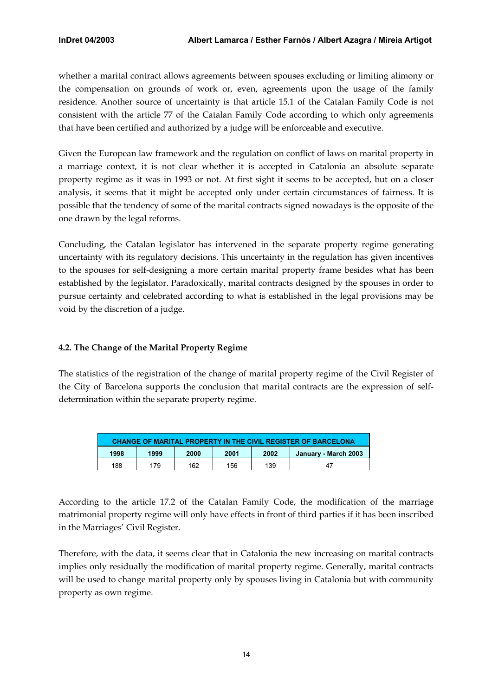<span id="page-14-0"></span>whether a marital contract allows agreements between spouses excluding or limiting alimony or the compensation on grounds of work or, even, agreements upon the usage of the family residence. Another source of uncertainty is that article 15.1 of the Catalan Family Code is not consistent with the article 77 of the Catalan Family Code according to which only agreements that have been certified and authorized by a judge will be enforceable and executive.

Given the European law framework and the regulation on conflict of laws on marital property in a marriage context, it is not clear whether it is accepted in Catalonia an absolute separate property regime as it was in 1993 or not. At first sight it seems to be accepted, but on a closer analysis, it seems that it might be accepted only under certain circumstances of fairness. It is possible that the tendency of some of the marital contracts signed nowadays is the opposite of the one drawn by the legal reforms.

Concluding, the Catalan legislator has intervened in the separate property regime generating uncertainty with its regulatory decisions. This uncertainty in the regulation has given incentives to the spouses for self-designing a more certain marital property frame besides what has been established by the legislator. Paradoxically, marital contracts designed by the spouses in order to pursue certainty and celebrated according to what is established in the legal provisions may be void by the discretion of a judge.

# **4.2. The Change of the Marital Property Regime**

The statistics of the registration of the change of marital property regime of the Civil Register of the City of Barcelona supports the conclusion that marital contracts are the expression of selfdetermination within the separate property regime.

| <b>CHANGE OF MARITAL PROPERTY IN THE CIVIL REGISTER OF BARCELONA</b> |                                                      |     |     |     |    |  |  |  |  |  |
|----------------------------------------------------------------------|------------------------------------------------------|-----|-----|-----|----|--|--|--|--|--|
| 1998                                                                 | 2000<br>2002<br>1999<br>2001<br>January - March 2003 |     |     |     |    |  |  |  |  |  |
| 188                                                                  | 179                                                  | 162 | 156 | 139 | 47 |  |  |  |  |  |

According to the article 17.2 of the Catalan Family Code, the modification of the marriage matrimonial property regime will only have effects in front of third parties if it has been inscribed in the Marriages' Civil Register.

Therefore, with the data, it seems clear that in Catalonia the new increasing on marital contracts implies only residually the modification of marital property regime. Generally, marital contracts will be used to change marital property only by spouses living in Catalonia but with community property as own regime.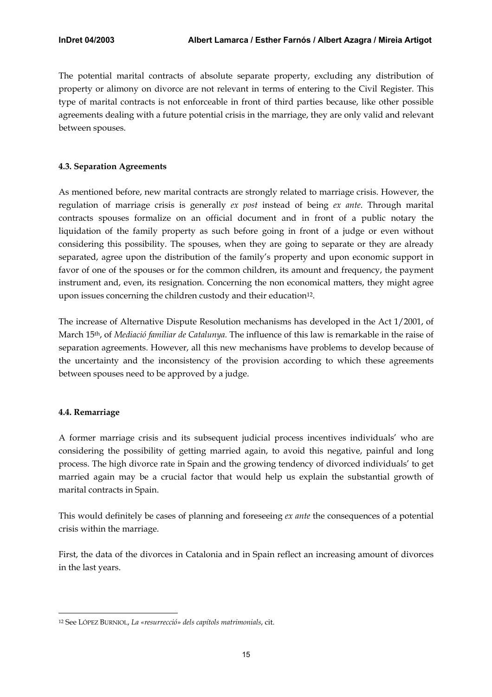<span id="page-15-0"></span>The potential marital contracts of absolute separate property, excluding any distribution of property or alimony on divorce are not relevant in terms of entering to the Civil Register. This type of marital contracts is not enforceable in front of third parties because, like other possible agreements dealing with a future potential crisis in the marriage, they are only valid and relevant between spouses.

# **4.3. Separation Agreements**

As mentioned before, new marital contracts are strongly related to marriage crisis. However, the regulation of marriage crisis is generally *ex post* instead of being *ex ante*. Through marital contracts spouses formalize on an official document and in front of a public notary the liquidation of the family property as such before going in front of a judge or even without considering this possibility. The spouses, when they are going to separate or they are already separated, agree upon the distribution of the family's property and upon economic support in favor of one of the spouses or for the common children, its amount and frequency, the payment instrument and, even, its resignation. Concerning the non economical matters, they might agree upon issues concerning the children custody and their education<sup>12</sup>.

The increase of Alternative Dispute Resolution mechanisms has developed in the Act 1/2001, of March 15th, of *Mediació familiar de Catalunya.* The influence of this law is remarkable in the raise of separation agreements. However, all this new mechanisms have problems to develop because of the uncertainty and the inconsistency of the provision according to which these agreements between spouses need to be approved by a judge.

# **4.4. Remarriage**

 $\overline{a}$ 

A former marriage crisis and its subsequent judicial process incentives individuals' who are considering the possibility of getting married again, to avoid this negative, painful and long process. The high divorce rate in Spain and the growing tendency of divorced individuals' to get married again may be a crucial factor that would help us explain the substantial growth of marital contracts in Spain.

This would definitely be cases of planning and foreseeing *ex ante* the consequences of a potential crisis within the marriage.

First, the data of the divorces in Catalonia and in Spain reflect an increasing amount of divorces in the last years.

<span id="page-15-1"></span><sup>12</sup> See LÓPEZ BURNIOL, *La «resurrecció» dels capítols matrimonials*, cit.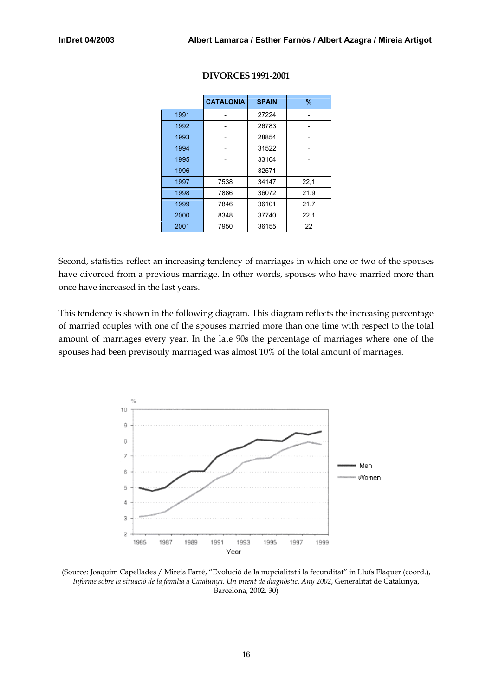|      | <b>CATALONIA</b> | <b>SPAIN</b> | $\%$ |
|------|------------------|--------------|------|
| 1991 |                  | 27224        |      |
| 1992 |                  | 26783        |      |
| 1993 |                  | 28854        |      |
| 1994 |                  | 31522        |      |
| 1995 |                  | 33104        |      |
| 1996 |                  | 32571        |      |
| 1997 | 7538             | 34147        | 22,1 |
| 1998 | 7886             | 36072        | 21,9 |
| 1999 | 7846             | 36101        | 21,7 |
| 2000 | 8348             | 37740        | 22,1 |
| 2001 | 7950             | 36155        | 22   |

#### **DIVORCES 1991-2001**

Second, statistics reflect an increasing tendency of marriages in which one or two of the spouses have divorced from a previous marriage. In other words, spouses who have married more than once have increased in the last years.

This tendency is shown in the following diagram. This diagram reflects the increasing percentage of married couples with one of the spouses married more than one time with respect to the total amount of marriages every year. In the late 90s the percentage of marriages where one of the spouses had been previsouly marriaged was almost 10% of the total amount of marriages.



(Source: Joaquim Capellades / Mireia Farré, "Evolució de la nupcialitat i la fecunditat" in Lluís Flaquer (coord.), *Informe sobre la situació de la família a Catalunya*. *Un intent de diagnòstic*. *Any 2002*, Generalitat de Catalunya, Barcelona, 2002, 30)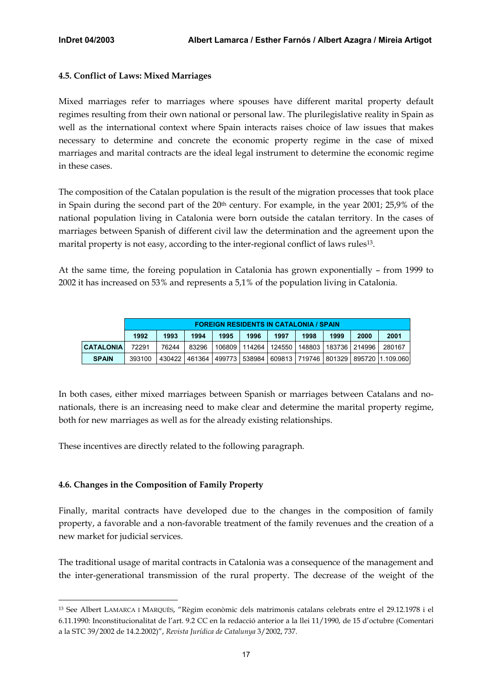### <span id="page-17-0"></span>**4.5. Conflict of Laws: Mixed Marriages**

Mixed marriages refer to marriages where spouses have different marital property default regimes resulting from their own national or personal law. The plurilegislative reality in Spain as well as the international context where Spain interacts raises choice of law issues that makes necessary to determine and concrete the economic property regime in the case of mixed marriages and marital contracts are the ideal legal instrument to determine the economic regime in these cases.

The composition of the Catalan population is the result of the migration processes that took place in Spain during the second part of the 20<sup>th</sup> century. For example, in the year 2001; 25,9% of the national population living in Catalonia were born outside the catalan territory. In the cases of marriages between Spanish of different civil law the determination and the agreement upon the marital property is not easy, according to the inter-regional conflict of laws rules[13.](#page-17-1) 

At the same time, the foreing population in Catalonia has grown exponentially – from 1999 to 2002 it has increased on 53% and represents a 5,1% of the population living in Catalonia.

|                  |                                                                              | <b>FOREIGN RESIDENTS IN CATALONIA / SPAIN</b> |       |  |  |                                                                 |  |  |  |                                                                                  |  |
|------------------|------------------------------------------------------------------------------|-----------------------------------------------|-------|--|--|-----------------------------------------------------------------|--|--|--|----------------------------------------------------------------------------------|--|
|                  | 1997<br>2000<br>1993<br>1994<br>1996<br>1999<br>1992<br>1995<br>1998<br>2001 |                                               |       |  |  |                                                                 |  |  |  |                                                                                  |  |
| <b>CATALONIA</b> | 72291                                                                        | 76244                                         | 83296 |  |  | l 106809   114264   124550   148803   183736   214996    280167 |  |  |  |                                                                                  |  |
| <b>SPAIN</b>     | 393100                                                                       |                                               |       |  |  |                                                                 |  |  |  | 430422   461364   499773   538984   609813   719746   801329   895720  1.109.060 |  |

In both cases, either mixed marriages between Spanish or marriages between Catalans and nonationals, there is an increasing need to make clear and determine the marital property regime, both for new marriages as well as for the already existing relationships.

These incentives are directly related to the following paragraph.

# **4.6. Changes in the Composition of Family Property**

Finally, marital contracts have developed due to the changes in the composition of family property, a favorable and a non-favorable treatment of the family revenues and the creation of a new market for judicial services.

The traditional usage of marital contracts in Catalonia was a consequence of the management and the inter-generational transmission of the rural property. The decrease of the weight of the

<span id="page-17-1"></span> $\overline{a}$ <sup>13</sup> See Albert LAMARCA I MARQUÈS, "Règim econòmic dels matrimonis catalans celebrats entre el 29.12.1978 i el 6.11.1990: Inconstitucionalitat de l'art. 9.2 CC en la redacció anterior a la llei 11/1990, de 15 d'octubre (Comentari a la STC 39/2002 de 14.2.2002)", *Revista Jurídica de Catalunya* 3/2002, 737.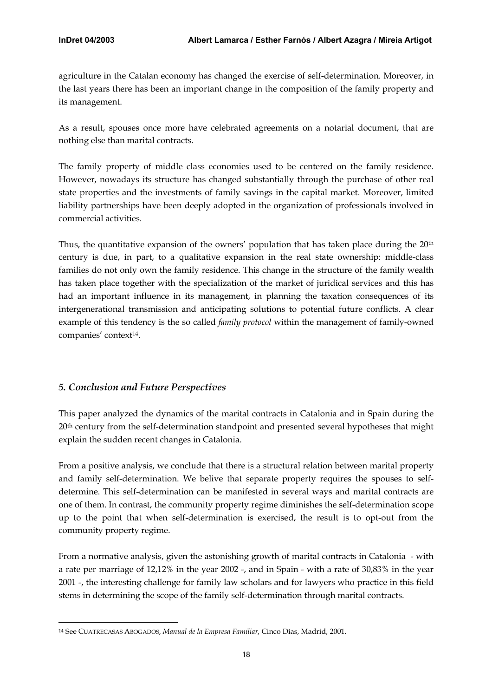<span id="page-18-0"></span>agriculture in the Catalan economy has changed the exercise of self-determination. Moreover, in the last years there has been an important change in the composition of the family property and its management.

As a result, spouses once more have celebrated agreements on a notarial document, that are nothing else than marital contracts.

The family property of middle class economies used to be centered on the family residence. However, nowadays its structure has changed substantially through the purchase of other real state properties and the investments of family savings in the capital market. Moreover, limited liability partnerships have been deeply adopted in the organization of professionals involved in commercial activities.

Thus, the quantitative expansion of the owners' population that has taken place during the  $20<sup>th</sup>$ century is due, in part, to a qualitative expansion in the real state ownership: middle-class families do not only own the family residence. This change in the structure of the family wealth has taken place together with the specialization of the market of juridical services and this has had an important influence in its management, in planning the taxation consequences of its intergenerational transmission and anticipating solutions to potential future conflicts. A clear example of this tendency is the so called *family protocol* within the management of family-owned companies' context<sup>14</sup>.

# *5. Conclusion and Future Perspectives*

 $\overline{a}$ 

This paper analyzed the dynamics of the marital contracts in Catalonia and in Spain during the 20th century from the self-determination standpoint and presented several hypotheses that might explain the sudden recent changes in Catalonia.

From a positive analysis, we conclude that there is a structural relation between marital property and family self-determination. We belive that separate property requires the spouses to selfdetermine. This self-determination can be manifested in several ways and marital contracts are one of them. In contrast, the community property regime diminishes the self-determination scope up to the point that when self-determination is exercised, the result is to opt-out from the community property regime.

From a normative analysis, given the astonishing growth of marital contracts in Catalonia - with a rate per marriage of 12,12% in the year 2002 -, and in Spain - with a rate of 30,83% in the year 2001 -, the interesting challenge for family law scholars and for lawyers who practice in this field stems in determining the scope of the family self-determination through marital contracts.

<span id="page-18-1"></span><sup>14</sup> See CUATRECASAS ABOGADOS, *Manual de la Empresa Familiar*, Cinco Días, Madrid, 2001.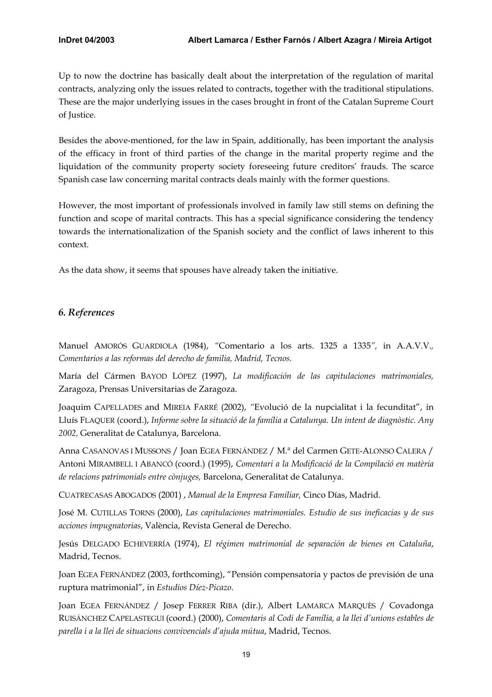<span id="page-19-0"></span>Up to now the doctrine has basically dealt about the interpretation of the regulation of marital contracts, analyzing only the issues related to contracts, together with the traditional stipulations. These are the major underlying issues in the cases brought in front of the Catalan Supreme Court of Justice.

Besides the above-mentioned, for the law in Spain, additionally, has been important the analysis of the efficacy in front of third parties of the change in the marital property regime and the liquidation of the community property society foreseeing future creditors' frauds. The scarce Spanish case law concerning marital contracts deals mainly with the former questions.

However, the most important of professionals involved in family law still stems on defining the function and scope of marital contracts. This has a special significance considering the tendency towards the internationalization of the Spanish society and the conflict of laws inherent to this context.

As the data show, it seems that spouses have already taken the initiative.

# *6. References*

Manuel AMORÓS GUARDIOLA (1984), *"*Comentario a los arts. 1325 a 1335*",* in A.A.V.V.*, Comentarios a las reformas del derecho de familia, Madrid, Tecnos.* 

María del Cármen BAYOD LÓPEZ (1997), *La modificación de las capitulaciones matrimoniales,* Zaragoza, Prensas Universitarias de Zaragoza.

Joaquim CAPELLADES and MIREIA FARRÉ (2002), *"*Evolució de la nupcialitat i la fecunditat", in Lluís FLAQUER (coord.), *Informe sobre la situació de la família a Catalunya. Un intent de diagnòstic. Any 2002,* Generalitat de Catalunya, Barcelona.

Anna CASANOVAS I MUSSONS / Joan EGEA FERNÁNDEZ / M.ª del Carmen GETE-ALONSO CALERA / Antoni MIRAMBELL I ABANCÓ (coord.) (1995), *Comentari a la Modificació de la Compilació en matèria de relacions patrimonials entre cònjuges,* Barcelona, Generalitat de Catalunya.

CUATRECASAS ABOGADOS (2001) , *Manual de la Empresa Familiar,* Cinco Días, Madrid.

José M. CUTILLAS TORNS (2000), *Las capitulaciones matrimoniales. Estudio de sus ineficacias y de sus acciones impugnatorias*, València, Revista General de Derecho.

Jesús DELGADO ECHEVERRÍA (1974), *El régimen matrimonial de separación de bienes en Cataluña*, Madrid, Tecnos.

Joan EGEA FERNÁNDEZ (2003, forthcoming), "Pensión compensatoria y pactos de previsión de una ruptura matrimonial", in *Estudios Díez-Picazo*.

Joan EGEA FERNÁNDEZ / Josep FERRER RIBA (dir.), Albert LAMARCA MARQUÈS / Covadonga RUISÁNCHEZ CAPELASTEGUI (coord.) (2000), *Comentaris al Codi de Família, a la llei d'unions estables de parella i a la llei de situacions convivencials d'ajuda mútua*, Madrid, Tecnos.